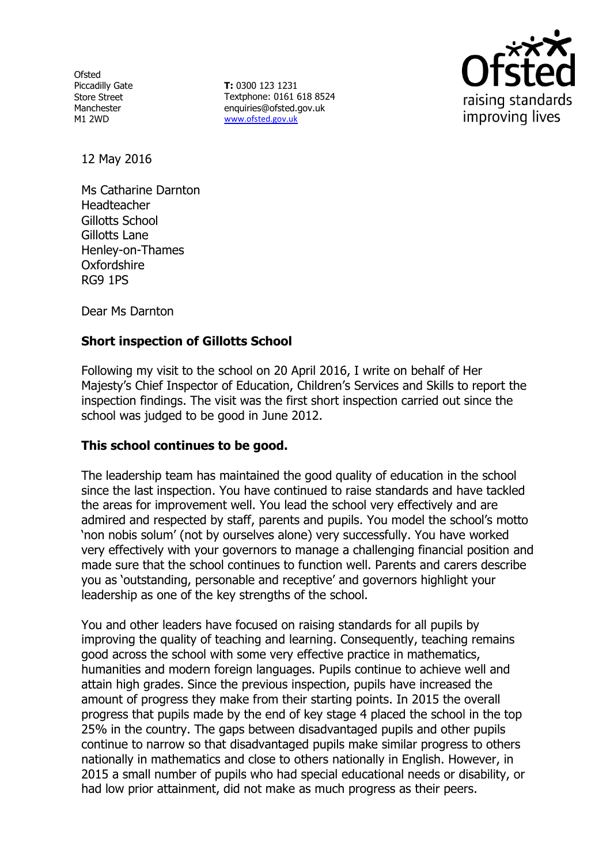**Ofsted** Piccadilly Gate Store Street Manchester M1 2WD

**T:** 0300 123 1231 Textphone: 0161 618 8524 enquiries@ofsted.gov.uk www.ofsted.gov.uk



12 May 2016

Ms Catharine Darnton **Headteacher** Gillotts School Gillotts Lane Henley-on-Thames Oxfordshire RG9 1PS

Dear Ms Darnton

# **Short inspection of Gillotts School**

Following my visit to the school on 20 April 2016, I write on behalf of Her Majesty's Chief Inspector of Education, Children's Services and Skills to report the inspection findings. The visit was the first short inspection carried out since the school was judged to be good in June 2012.

### **This school continues to be good.**

The leadership team has maintained the good quality of education in the school since the last inspection. You have continued to raise standards and have tackled the areas for improvement well. You lead the school very effectively and are admired and respected by staff, parents and pupils. You model the school's motto 'non nobis solum' (not by ourselves alone) very successfully. You have worked very effectively with your governors to manage a challenging financial position and made sure that the school continues to function well. Parents and carers describe you as 'outstanding, personable and receptive' and governors highlight your leadership as one of the key strengths of the school.

You and other leaders have focused on raising standards for all pupils by improving the quality of teaching and learning. Consequently, teaching remains good across the school with some very effective practice in mathematics, humanities and modern foreign languages. Pupils continue to achieve well and attain high grades. Since the previous inspection, pupils have increased the amount of progress they make from their starting points. In 2015 the overall progress that pupils made by the end of key stage 4 placed the school in the top 25% in the country. The gaps between disadvantaged pupils and other pupils continue to narrow so that disadvantaged pupils make similar progress to others nationally in mathematics and close to others nationally in English. However, in 2015 a small number of pupils who had special educational needs or disability, or had low prior attainment, did not make as much progress as their peers.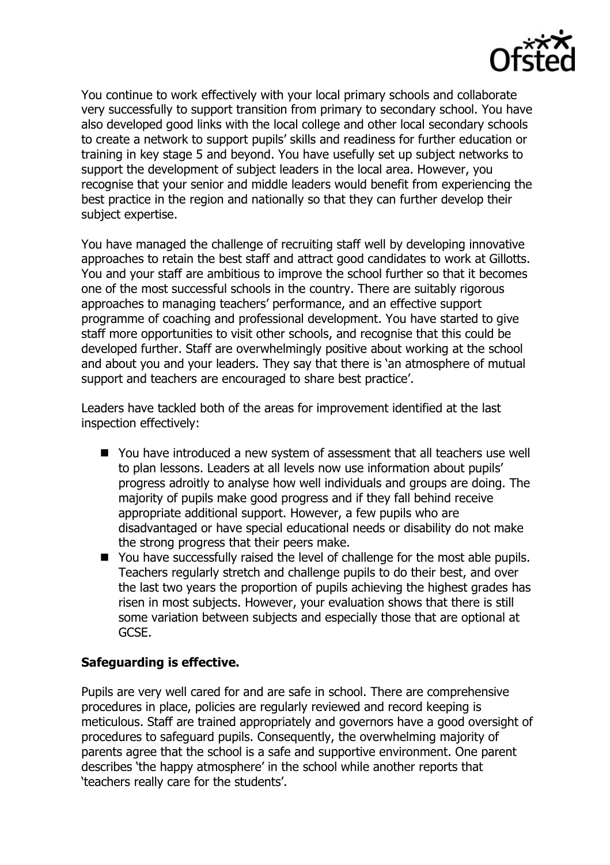

You continue to work effectively with your local primary schools and collaborate very successfully to support transition from primary to secondary school. You have also developed good links with the local college and other local secondary schools to create a network to support pupils' skills and readiness for further education or training in key stage 5 and beyond. You have usefully set up subject networks to support the development of subject leaders in the local area. However, you recognise that your senior and middle leaders would benefit from experiencing the best practice in the region and nationally so that they can further develop their subject expertise.

You have managed the challenge of recruiting staff well by developing innovative approaches to retain the best staff and attract good candidates to work at Gillotts. You and your staff are ambitious to improve the school further so that it becomes one of the most successful schools in the country. There are suitably rigorous approaches to managing teachers' performance, and an effective support programme of coaching and professional development. You have started to give staff more opportunities to visit other schools, and recognise that this could be developed further. Staff are overwhelmingly positive about working at the school and about you and your leaders. They say that there is 'an atmosphere of mutual support and teachers are encouraged to share best practice'.

Leaders have tackled both of the areas for improvement identified at the last inspection effectively:

- You have introduced a new system of assessment that all teachers use well to plan lessons. Leaders at all levels now use information about pupils' progress adroitly to analyse how well individuals and groups are doing. The majority of pupils make good progress and if they fall behind receive appropriate additional support. However, a few pupils who are disadvantaged or have special educational needs or disability do not make the strong progress that their peers make.
- You have successfully raised the level of challenge for the most able pupils. Teachers regularly stretch and challenge pupils to do their best, and over the last two years the proportion of pupils achieving the highest grades has risen in most subjects. However, your evaluation shows that there is still some variation between subjects and especially those that are optional at GCSE.

# **Safeguarding is effective.**

Pupils are very well cared for and are safe in school. There are comprehensive procedures in place, policies are regularly reviewed and record keeping is meticulous. Staff are trained appropriately and governors have a good oversight of procedures to safeguard pupils. Consequently, the overwhelming majority of parents agree that the school is a safe and supportive environment. One parent describes 'the happy atmosphere' in the school while another reports that 'teachers really care for the students'.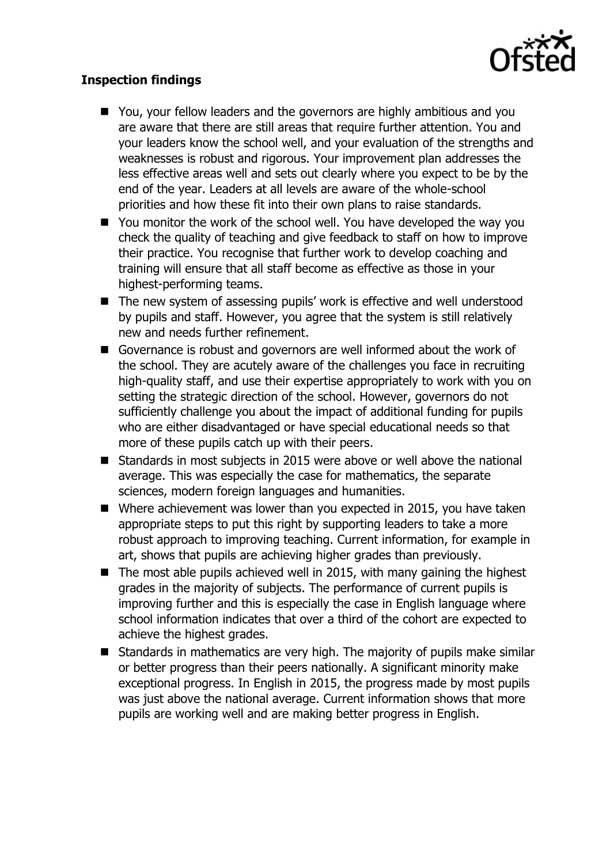

## **Inspection findings**

- You, your fellow leaders and the governors are highly ambitious and you are aware that there are still areas that require further attention. You and your leaders know the school well, and your evaluation of the strengths and weaknesses is robust and rigorous. Your improvement plan addresses the less effective areas well and sets out clearly where you expect to be by the end of the year. Leaders at all levels are aware of the whole-school priorities and how these fit into their own plans to raise standards.
- You monitor the work of the school well. You have developed the way you check the quality of teaching and give feedback to staff on how to improve their practice. You recognise that further work to develop coaching and training will ensure that all staff become as effective as those in your highest-performing teams.
- The new system of assessing pupils' work is effective and well understood by pupils and staff. However, you agree that the system is still relatively new and needs further refinement.
- Governance is robust and governors are well informed about the work of the school. They are acutely aware of the challenges you face in recruiting high-quality staff, and use their expertise appropriately to work with you on setting the strategic direction of the school. However, governors do not sufficiently challenge you about the impact of additional funding for pupils who are either disadvantaged or have special educational needs so that more of these pupils catch up with their peers.
- Standards in most subjects in 2015 were above or well above the national average. This was especially the case for mathematics, the separate sciences, modern foreign languages and humanities.
- Where achievement was lower than you expected in 2015, you have taken appropriate steps to put this right by supporting leaders to take a more robust approach to improving teaching. Current information, for example in art, shows that pupils are achieving higher grades than previously.
- $\blacksquare$  The most able pupils achieved well in 2015, with many gaining the highest grades in the majority of subjects. The performance of current pupils is improving further and this is especially the case in English language where school information indicates that over a third of the cohort are expected to achieve the highest grades.
- Standards in mathematics are very high. The majority of pupils make similar or better progress than their peers nationally. A significant minority make exceptional progress. In English in 2015, the progress made by most pupils was just above the national average. Current information shows that more pupils are working well and are making better progress in English.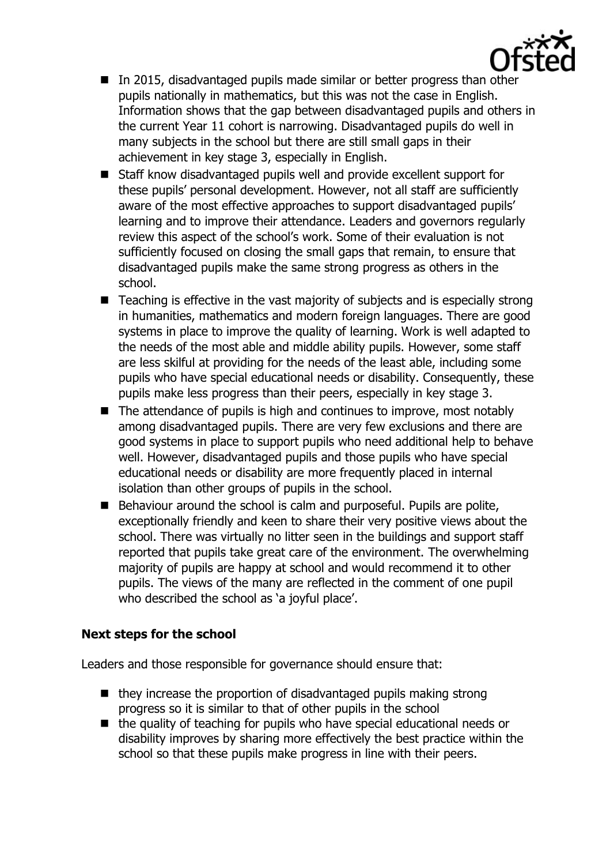

- In 2015, disadvantaged pupils made similar or better progress than other pupils nationally in mathematics, but this was not the case in English. Information shows that the gap between disadvantaged pupils and others in the current Year 11 cohort is narrowing. Disadvantaged pupils do well in many subjects in the school but there are still small gaps in their achievement in key stage 3, especially in English.
- Staff know disadvantaged pupils well and provide excellent support for these pupils' personal development. However, not all staff are sufficiently aware of the most effective approaches to support disadvantaged pupils' learning and to improve their attendance. Leaders and governors regularly review this aspect of the school's work. Some of their evaluation is not sufficiently focused on closing the small gaps that remain, to ensure that disadvantaged pupils make the same strong progress as others in the school.
- Teaching is effective in the vast majority of subjects and is especially strong in humanities, mathematics and modern foreign languages. There are good systems in place to improve the quality of learning. Work is well adapted to the needs of the most able and middle ability pupils. However, some staff are less skilful at providing for the needs of the least able, including some pupils who have special educational needs or disability. Consequently, these pupils make less progress than their peers, especially in key stage 3.
- $\blacksquare$  The attendance of pupils is high and continues to improve, most notably among disadvantaged pupils. There are very few exclusions and there are good systems in place to support pupils who need additional help to behave well. However, disadvantaged pupils and those pupils who have special educational needs or disability are more frequently placed in internal isolation than other groups of pupils in the school.
- Behaviour around the school is calm and purposeful. Pupils are polite, exceptionally friendly and keen to share their very positive views about the school. There was virtually no litter seen in the buildings and support staff reported that pupils take great care of the environment. The overwhelming majority of pupils are happy at school and would recommend it to other pupils. The views of the many are reflected in the comment of one pupil who described the school as 'a joyful place'.

### **Next steps for the school**

Leaders and those responsible for governance should ensure that:

- $\blacksquare$  they increase the proportion of disadvantaged pupils making strong progress so it is similar to that of other pupils in the school
- the quality of teaching for pupils who have special educational needs or disability improves by sharing more effectively the best practice within the school so that these pupils make progress in line with their peers.